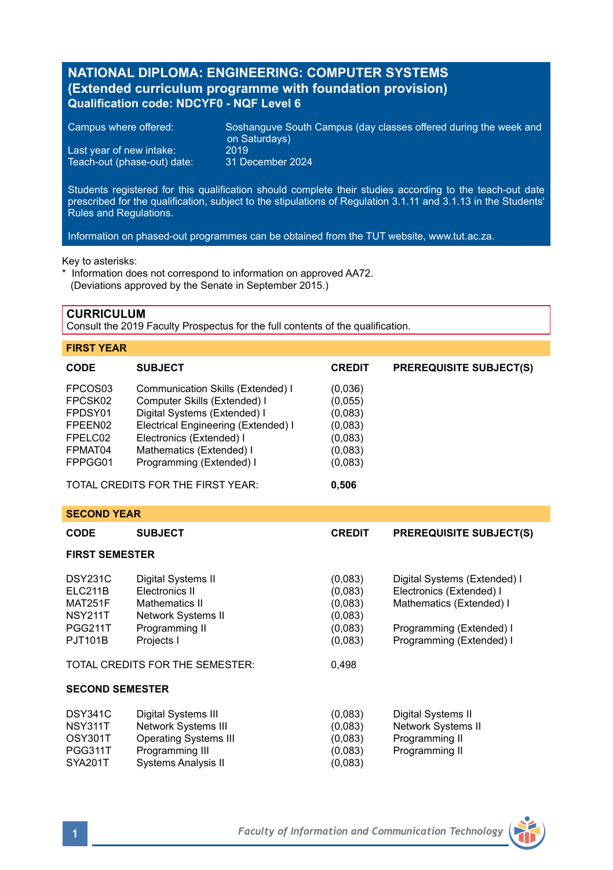# **NATIONAL DIPLOMA: ENGINEERING: COMPUTER SYSTEMS (Extended curriculum programme with foundation provision) Qualification code: NDCYF0 - NQF Level 6**

| Campus where offered:       | Soshanguve South Campus (day classes offered during the week and<br>on Saturdays) |
|-----------------------------|-----------------------------------------------------------------------------------|
| Last year of new intake:    | 2019'                                                                             |
| Teach-out (phase-out) date: | 31 December 2024                                                                  |

Students registered for this qualification should complete their studies according to the teach-out date prescribed for the qualification, subject to the stipulations of Regulation 3.1.11 and 3.1.13 in the Students' Rules and Regulations.

Information on phased-out programmes can be obtained from the TUT website, www.tut.ac.za.

#### Key to asterisks:

\* Information does not correspond to information on approved AA72. (Deviations approved by the Senate in September 2015.)

### **CURRICULUM**

Consult the 2019 Faculty Prospectus for the full contents of the qualification.

## **FIRST YEAR**

| <b>CODE</b>         | <b>SUBJECT</b>                      | <b>CREDIT</b> | <b>PREREQUISITE SUBJECT(S)</b> |
|---------------------|-------------------------------------|---------------|--------------------------------|
| FPCOS <sub>03</sub> | Communication Skills (Extended) I   | (0,036)       |                                |
| FPCSK02             | Computer Skills (Extended) I        | (0.055)       |                                |
| FPDSY01             | Digital Systems (Extended) I        | (0,083)       |                                |
| FPEEN02             | Electrical Engineering (Extended) I | (0,083)       |                                |
| FPELC02             | Electronics (Extended) I            | (0,083)       |                                |
| FPMAT04             | Mathematics (Extended) I            | (0.083)       |                                |
| FPPGG01             | Programming (Extended) I            | (0,083)       |                                |
|                     | TOTAL ODERITO FOR THE FIROT VEAR.   | 0.500         |                                |

TOTAL CREDITS FOR THE FIRST YEAR: **0,506**

# **SECOND YEAR**

| ULVUNU I LAIN                            |                              |               |                                |  |  |  |
|------------------------------------------|------------------------------|---------------|--------------------------------|--|--|--|
| <b>CODE</b>                              | <b>SUBJECT</b>               | <b>CREDIT</b> | <b>PREREQUISITE SUBJECT(S)</b> |  |  |  |
| <b>FIRST SEMESTER</b>                    |                              |               |                                |  |  |  |
| <b>DSY231C</b>                           | Digital Systems II           | (0,083)       | Digital Systems (Extended) I   |  |  |  |
| <b>ELC211B</b>                           | Electronics II               | (0,083)       | Electronics (Extended) I       |  |  |  |
| MAT251F                                  | Mathematics II               | (0,083)       | Mathematics (Extended) I       |  |  |  |
| <b>NSY211T</b>                           | Network Systems II           | (0,083)       |                                |  |  |  |
| <b>PGG211T</b>                           | Programming II               | (0,083)       | Programming (Extended) I       |  |  |  |
| <b>PJT101B</b>                           | Projects I                   | (0,083)       | Programming (Extended) I       |  |  |  |
| TOTAL CREDITS FOR THE SEMESTER:<br>0,498 |                              |               |                                |  |  |  |
| <b>SECOND SEMESTER</b>                   |                              |               |                                |  |  |  |
| <b>DSY341C</b>                           | Digital Systems III          | (0,083)       | Digital Systems II             |  |  |  |
| NSY311T                                  | <b>Network Systems III</b>   | (0,083)       | Network Systems II             |  |  |  |
| OSY301T                                  | <b>Operating Systems III</b> | (0,083)       | Programming II                 |  |  |  |
| PGG311T                                  | Programming III              | (0,083)       | Programming II                 |  |  |  |
| SYA201T                                  | Systems Analysis II          | (0,083)       |                                |  |  |  |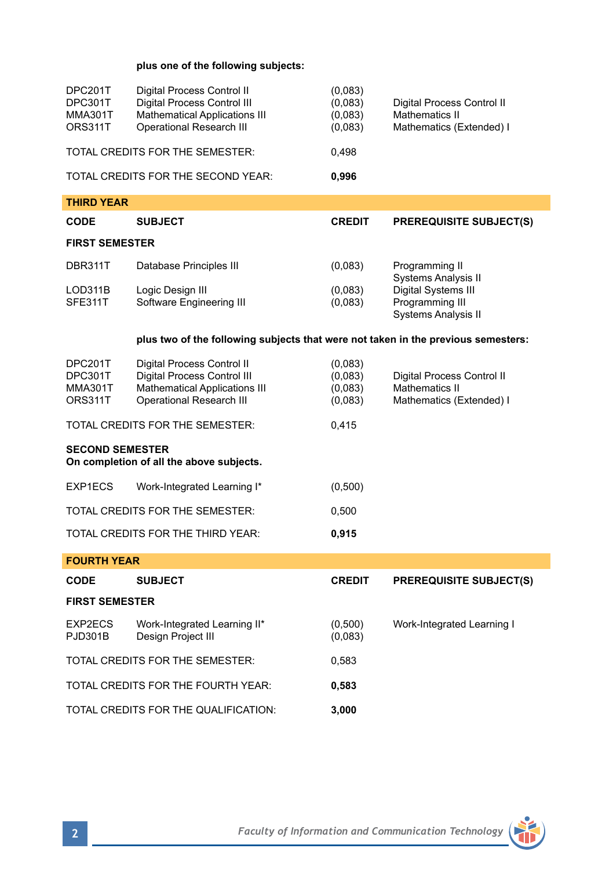## **plus one of the following subjects:**

| DPC201T<br>DPC301T<br>MMA301T<br>ORS311T                           | Digital Process Control II<br>Digital Process Control III<br><b>Mathematical Applications III</b><br><b>Operational Research III</b> | (0,083)<br>(0,083)<br>(0,083)<br>(0,083) | Digital Process Control II<br>Mathematics II<br>Mathematics (Extended) I |  |  |  |  |
|--------------------------------------------------------------------|--------------------------------------------------------------------------------------------------------------------------------------|------------------------------------------|--------------------------------------------------------------------------|--|--|--|--|
| TOTAL CREDITS FOR THE SEMESTER:                                    |                                                                                                                                      | 0,498                                    |                                                                          |  |  |  |  |
|                                                                    | TOTAL CREDITS FOR THE SECOND YEAR:                                                                                                   | 0,996                                    |                                                                          |  |  |  |  |
| <b>THIRD YEAR</b>                                                  |                                                                                                                                      |                                          |                                                                          |  |  |  |  |
| CODE                                                               | <b>SUBJECT</b>                                                                                                                       | <b>CREDIT</b>                            | <b>PREREQUISITE SUBJECT(S)</b>                                           |  |  |  |  |
| <b>FIRST SEMESTER</b>                                              |                                                                                                                                      |                                          |                                                                          |  |  |  |  |
| DBR311T                                                            | Database Principles III                                                                                                              | (0,083)                                  | Programming II                                                           |  |  |  |  |
| LOD311B                                                            | Logic Design III                                                                                                                     | (0,083)                                  | Systems Analysis II<br>Digital Systems III                               |  |  |  |  |
| SFE311T                                                            | Software Engineering III                                                                                                             | (0,083)                                  | Programming III                                                          |  |  |  |  |
|                                                                    |                                                                                                                                      |                                          | Systems Analysis II                                                      |  |  |  |  |
|                                                                    | plus two of the following subjects that were not taken in the previous semesters:                                                    |                                          |                                                                          |  |  |  |  |
| DPC201T                                                            | Digital Process Control II                                                                                                           | (0,083)                                  |                                                                          |  |  |  |  |
| DPC301T<br>MMA301T                                                 | Digital Process Control III<br><b>Mathematical Applications III</b>                                                                  | (0,083)<br>(0,083)                       | Digital Process Control II<br>Mathematics II                             |  |  |  |  |
| ORS311T                                                            | <b>Operational Research III</b>                                                                                                      | (0,083)                                  | Mathematics (Extended) I                                                 |  |  |  |  |
|                                                                    | TOTAL CREDITS FOR THE SEMESTER:                                                                                                      | 0,415                                    |                                                                          |  |  |  |  |
| <b>SECOND SEMESTER</b><br>On completion of all the above subjects. |                                                                                                                                      |                                          |                                                                          |  |  |  |  |
| EXP1ECS                                                            | Work-Integrated Learning I*                                                                                                          | (0,500)                                  |                                                                          |  |  |  |  |
| TOTAL CREDITS FOR THE SEMESTER:                                    |                                                                                                                                      | 0,500                                    |                                                                          |  |  |  |  |
|                                                                    | TOTAL CREDITS FOR THE THIRD YEAR:                                                                                                    | 0,915                                    |                                                                          |  |  |  |  |
| <b>FOURTH YEAR</b>                                                 |                                                                                                                                      |                                          |                                                                          |  |  |  |  |
| CODE                                                               | <b>SUBJECT</b>                                                                                                                       | <b>CREDIT</b>                            | <b>PREREQUISITE SUBJECT(S)</b>                                           |  |  |  |  |
| <b>FIRST SEMESTER</b>                                              |                                                                                                                                      |                                          |                                                                          |  |  |  |  |
| EXP2ECS<br>PJD301B                                                 | Work-Integrated Learning II*<br>Design Project III                                                                                   | (0,500)<br>(0,083)                       | Work-Integrated Learning I                                               |  |  |  |  |
|                                                                    | TOTAL CREDITS FOR THE SEMESTER:                                                                                                      | 0,583                                    |                                                                          |  |  |  |  |
| TOTAL CREDITS FOR THE FOURTH YEAR:                                 |                                                                                                                                      | 0,583                                    |                                                                          |  |  |  |  |
| TOTAL CREDITS FOR THE QUALIFICATION:                               |                                                                                                                                      | 3,000                                    |                                                                          |  |  |  |  |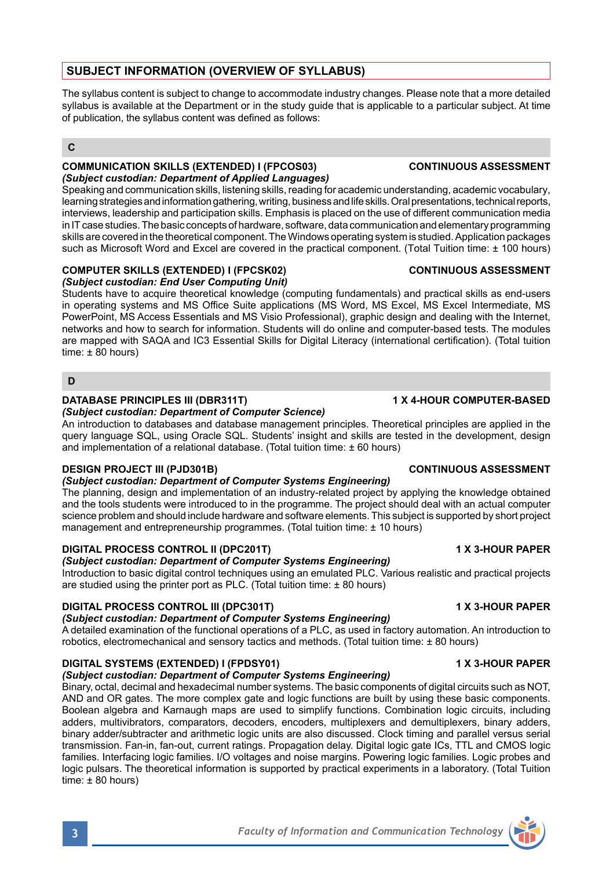# **SUBJECT INFORMATION (OVERVIEW OF SYLLABUS)**

The syllabus content is subject to change to accommodate industry changes. Please note that a more detailed syllabus is available at the Department or in the study guide that is applicable to a particular subject. At time of publication, the syllabus content was defined as follows:

## **C**

#### **COMMUNICATION SKILLS (EXTENDED) I (FPCOS03) CONTINUOUS ASSESSMENT** *(Subject custodian: Department of Applied Languages)*

Speaking and communication skills, listening skills, reading for academic understanding, academic vocabulary, learning strategies and information gathering, writing, business and life skills. Oral presentations, technical reports, interviews, leadership and participation skills. Emphasis is placed on the use of different communication media in IT case studies. The basic concepts of hardware, software, data communication and elementary programming skills are covered in the theoretical component. The Windows operating system is studied. Application packages such as Microsoft Word and Excel are covered in the practical component. (Total Tuition time: ± 100 hours)

#### **COMPUTER SKILLS (EXTENDED) I (FPCSK02) CONTINUOUS ASSESSMENT** *(Subject custodian: End User Computing Unit)*

Students have to acquire theoretical knowledge (computing fundamentals) and practical skills as end-users in operating systems and MS Office Suite applications (MS Word, MS Excel, MS Excel Intermediate, MS PowerPoint, MS Access Essentials and MS Visio Professional), graphic design and dealing with the Internet, networks and how to search for information. Students will do online and computer-based tests. The modules are mapped with SAQA and IC3 Essential Skills for Digital Literacy (international certification). (Total tuition time:  $\pm 80$  hours)

#### **D**

## **DATABASE PRINCIPLES III (DBR311T) 1 X 4-HOUR COMPUTER-BASED**

*(Subject custodian: Department of Computer Science)* An introduction to databases and database management principles. Theoretical principles are applied in the query language SQL, using Oracle SQL. Students' insight and skills are tested in the development, design and implementation of a relational database. (Total tuition time: ± 60 hours)

## **DESIGN PROJECT III (PJD301B) CONTINUOUS ASSESSMENT**

## *(Subject custodian: Department of Computer Systems Engineering)*

The planning, design and implementation of an industry-related project by applying the knowledge obtained and the tools students were introduced to in the programme. The project should deal with an actual computer science problem and should include hardware and software elements. This subject is supported by short project management and entrepreneurship programmes. (Total tuition time: ± 10 hours)

## **DIGITAL PROCESS CONTROL II (DPC201T)** 1 X 3-HOUR PAPER

# *(Subject custodian: Department of Computer Systems Engineering)*

Introduction to basic digital control techniques using an emulated PLC. Various realistic and practical projects are studied using the printer port as PLC. (Total tuition time: ± 80 hours)

# **DIGITAL PROCESS CONTROL III (DPC301T) 1 X 3-HOUR PAPER**

# *(Subject custodian: Department of Computer Systems Engineering)*

A detailed examination of the functional operations of a PLC, as used in factory automation. An introduction to robotics, electromechanical and sensory tactics and methods. (Total tuition time: ± 80 hours)

# **DIGITAL SYSTEMS (EXTENDED) I (FPDSY01) 1 X 3-HOUR PAPER**

## *(Subject custodian: Department of Computer Systems Engineering)*

Binary, octal, decimal and hexadecimal number systems. The basic components of digital circuits such as NOT, AND and OR gates. The more complex gate and logic functions are built by using these basic components. Boolean algebra and Karnaugh maps are used to simplify functions. Combination logic circuits, including adders, multivibrators, comparators, decoders, encoders, multiplexers, and demultiplexers, binary adders binary adder/subtracter and arithmetic logic units are also discussed. Clock timing and parallel versus serial transmission. Fan-in, fan-out, current ratings. Propagation delay. Digital logic gate ICs, TTL and CMOS logic families. Interfacing logic families. I/O voltages and noise margins. Powering logic families. Logic probes and logic pulsars. The theoretical information is supported by practical experiments in a laboratory. (Total Tuition time: ± 80 hours)

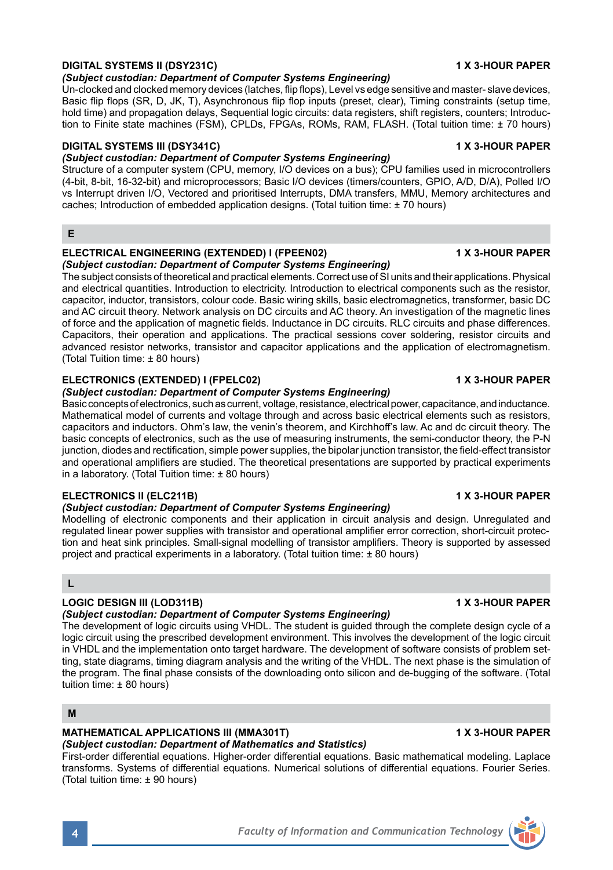# **DIGITAL SYSTEMS II (DSY231C) 1 X 3-HOUR PAPER**

## *(Subject custodian: Department of Computer Systems Engineering)*

Un-clocked and clocked memory devices (latches, flip flops), Level vs edge sensitive and master- slave devices, Basic flip flops (SR, D, JK, T), Asynchronous flip flop inputs (preset, clear), Timing constraints (setup time, hold time) and propagation delays, Sequential logic circuits: data registers, shift registers, counters; Introduction to Finite state machines (FSM), CPLDs, FPGAs, ROMs, RAM, FLASH. (Total tuition time: ± 70 hours)

## **DIGITAL SYSTEMS III (DSY341C) 1 X 3-HOUR PAPER**

## *(Subject custodian: Department of Computer Systems Engineering)*

Structure of a computer system (CPU, memory, I/O devices on a bus); CPU families used in microcontrollers (4-bit, 8-bit, 16-32-bit) and microprocessors; Basic I/O devices (timers/counters, GPIO, A/D, D/A), Polled I/O vs Interrupt driven I/O, Vectored and prioritised Interrupts, DMA transfers, MMU, Memory architectures and caches; Introduction of embedded application designs. (Total tuition time: ± 70 hours)

**E**

#### **ELECTRICAL ENGINEERING (EXTENDED) I (FPEEN02) 1 X 3-HOUR PAPER** *(Subject custodian: Department of Computer Systems Engineering)*

The subject consists of theoretical and practical elements. Correct use of SI units and their applications. Physical and electrical quantities. Introduction to electricity. Introduction to electrical components such as the resistor, capacitor, inductor, transistors, colour code. Basic wiring skills, basic electromagnetics, transformer, basic DC and AC circuit theory. Network analysis on DC circuits and AC theory. An investigation of the magnetic lines of force and the application of magnetic fields. Inductance in DC circuits. RLC circuits and phase differences. Capacitors, their operation and applications. The practical sessions cover soldering, resistor circuits and advanced resistor networks, transistor and capacitor applications and the application of electromagnetism. (Total Tuition time: ± 80 hours)

### **ELECTRONICS (EXTENDED) I (FPELC02) 1 X 3-HOUR PAPER**

#### *(Subject custodian: Department of Computer Systems Engineering)*

Basic concepts of electronics, such as current, voltage, resistance, electrical power, capacitance, and inductance. Mathematical model of currents and voltage through and across basic electrical elements such as resistors, capacitors and inductors. Ohm's law, the venin's theorem, and Kirchhoff's law. Ac and dc circuit theory. The basic concepts of electronics, such as the use of measuring instruments, the semi-conductor theory, the P-N junction, diodes and rectification, simple power supplies, the bipolar junction transistor, the field-effect transistor and operational amplifiers are studied. The theoretical presentations are supported by practical experiments in a laboratory. (Total Tuition time: ± 80 hours)

### **ELECTRONICS II (ELC211B) 1 X 3-HOUR PAPER**

#### *(Subject custodian: Department of Computer Systems Engineering)*

Modelling of electronic components and their application in circuit analysis and design. Unregulated and regulated linear power supplies with transistor and operational amplifier error correction, short-circuit protection and heat sink principles. Small-signal modelling of transistor amplifiers. Theory is supported by assessed project and practical experiments in a laboratory. (Total tuition time: ± 80 hours)

**L**

# **LOGIC DESIGN III (LOD311B) 1 X 3-HOUR PAPER**

# *(Subject custodian: Department of Computer Systems Engineering)*

The development of logic circuits using VHDL. The student is guided through the complete design cycle of a logic circuit using the prescribed development environment. This involves the development of the logic circuit in VHDL and the implementation onto target hardware. The development of software consists of problem setting, state diagrams, timing diagram analysis and the writing of the VHDL. The next phase is the simulation of the program. The final phase consists of the downloading onto silicon and de-bugging of the software. (Total tuition time: ± 80 hours)

### **M**

# **MATHEMATICAL APPLICATIONS III (MMA301T) 1 X 3-HOUR PAPER**

# *(Subject custodian: Department of Mathematics and Statistics)*

First-order differential equations. Higher-order differential equations. Basic mathematical modeling. Laplace transforms. Systems of differential equations. Numerical solutions of differential equations. Fourier Series. (Total tuition time: ± 90 hours)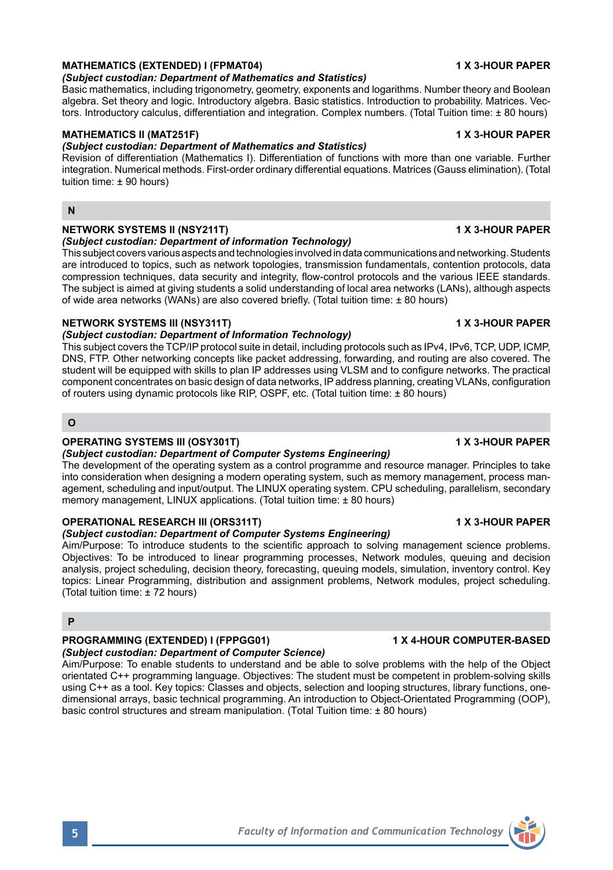## **MATHEMATICS (EXTENDED) I (FPMAT04) 1 X 3-HOUR PAPER**

## *(Subject custodian: Department of Mathematics and Statistics)*

Basic mathematics, including trigonometry, geometry, exponents and logarithms. Number theory and Boolean algebra. Set theory and logic. Introductory algebra. Basic statistics. Introduction to probability. Matrices. Vectors. Introductory calculus, differentiation and integration. Complex numbers. (Total Tuition time: ± 80 hours)

# **MATHEMATICS II (MAT251F) 1 X 3-HOUR PAPER**

## *(Subject custodian: Department of Mathematics and Statistics)*

Revision of differentiation (Mathematics I). Differentiation of functions with more than one variable. Further integration. Numerical methods. First-order ordinary differential equations. Matrices (Gauss elimination). (Total tuition time: ± 90 hours)

### **N**

## **NETWORK SYSTEMS II (NSY211T) 1 X 3-HOUR PAPER**

### *(Subject custodian: Department of information Technology)*

This subject covers various aspects and technologies involved in data communications and networking. Students are introduced to topics, such as network topologies, transmission fundamentals, contention protocols, data compression techniques, data security and integrity, flow-control protocols and the various IEEE standards. The subject is aimed at giving students a solid understanding of local area networks (LANs), although aspects of wide area networks (WANs) are also covered briefly. (Total tuition time: ± 80 hours)

### **NETWORK SYSTEMS III (NSY311T) 1 X 3-HOUR PAPER**

### *(Subject custodian: Department of Information Technology)*

This subject covers the TCP/IP protocol suite in detail, including protocols such as IPv4, IPv6, TCP, UDP, ICMP, DNS, FTP. Other networking concepts like packet addressing, forwarding, and routing are also covered. The student will be equipped with skills to plan IP addresses using VLSM and to configure networks. The practical component concentrates on basic design of data networks, IP address planning, creating VLANs, configuration of routers using dynamic protocols like RIP, OSPF, etc. (Total tuition time: ± 80 hours)

## **O**

## **OPERATING SYSTEMS III (OSY301T)** 1 X 3-HOUR PAPER

### *(Subject custodian: Department of Computer Systems Engineering)*

The development of the operating system as a control programme and resource manager. Principles to take into consideration when designing a modern operating system, such as memory management, process management, scheduling and input/output. The LINUX operating system. CPU scheduling, parallelism, secondary memory management, LINUX applications. (Total tuition time: ± 80 hours)

## **OPERATIONAL RESEARCH III (ORS311T) 1 X 3-HOUR PAPER**

# *(Subject custodian: Department of Computer Systems Engineering)*

Aim/Purpose: To introduce students to the scientific approach to solving management science problems. Objectives: To be introduced to linear programming processes, Network modules, queuing and decision analysis, project scheduling, decision theory, forecasting, queuing models, simulation, inventory control. Key topics: Linear Programming, distribution and assignment problems, Network modules, project scheduling. (Total tuition time: ± 72 hours)

### **P**

# **PROGRAMMING (EXTENDED) I (FPPGG01) 1 X 4-HOUR COMPUTER-BASED**

# *(Subject custodian: Department of Computer Science)*

Aim/Purpose: To enable students to understand and be able to solve problems with the help of the Object orientated C++ programming language. Objectives: The student must be competent in problem-solving skills using C++ as a tool. Key topics: Classes and objects, selection and looping structures, library functions, onedimensional arrays, basic technical programming. An introduction to Object-Orientated Programming (OOP), basic control structures and stream manipulation. (Total Tuition time: ± 80 hours)